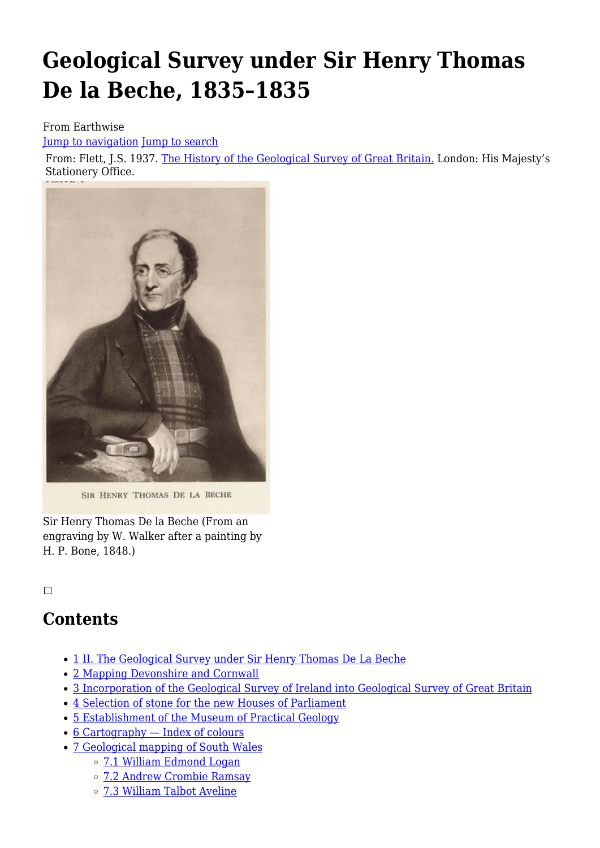# **Geological Survey under Sir Henry Thomas De la Beche, 1835–1835**

#### From Earthwise

[Jump to navigation](#page--1-0) [Jump to search](#page--1-0)

From: Flett, J.S. 1937. [The History of the Geological Survey of Great Britain.](http://earthwise.bgs.ac.uk/index.php/First_hundred_years_of_the_Geological_Survey_of_Great_Britain) London: His Majesty's Stationery Office.



SIR HENRY THOMAS DE LA BECHE

Sir Henry Thomas De la Beche (From an engraving by W. Walker after a painting by H. P. Bone, 1848.)

#### $\overline{\phantom{a}}$

### **Contents**

- [1](#II._The_Geological_Survey_under_Sir_Henry_Thomas_De_La_Beche) [II. The Geological Survey under Sir Henry Thomas De La Beche](#II._The_Geological_Survey_under_Sir_Henry_Thomas_De_La_Beche)
- [2](#page--1-0) [Mapping Devonshire and Cornwall](#page--1-0)
- [3](#page--1-0) [Incorporation of the Geological Survey of Ireland into Geological Survey of Great Britain](#page--1-0)
- [4](#page--1-0) [Selection of stone for the new Houses of Parliament](#page--1-0)
- [5](#page--1-0) [Establishment of the Museum of Practical Geology](#page--1-0)
- [6](#Cartography_.E2.80.94_Index_of_colours) [Cartography Index of colours](#Cartography_.E2.80.94_Index_of_colours)
- [7](#page--1-0) [Geological mapping of South Wales](#page--1-0)
	- [7.1](#page--1-0) [William Edmond Logan](#page--1-0)
	- [7.2](#page--1-0) [Andrew Crombie Ramsay](#page--1-0)
	- [7.3](#page--1-0) [William Talbot Aveline](#page--1-0)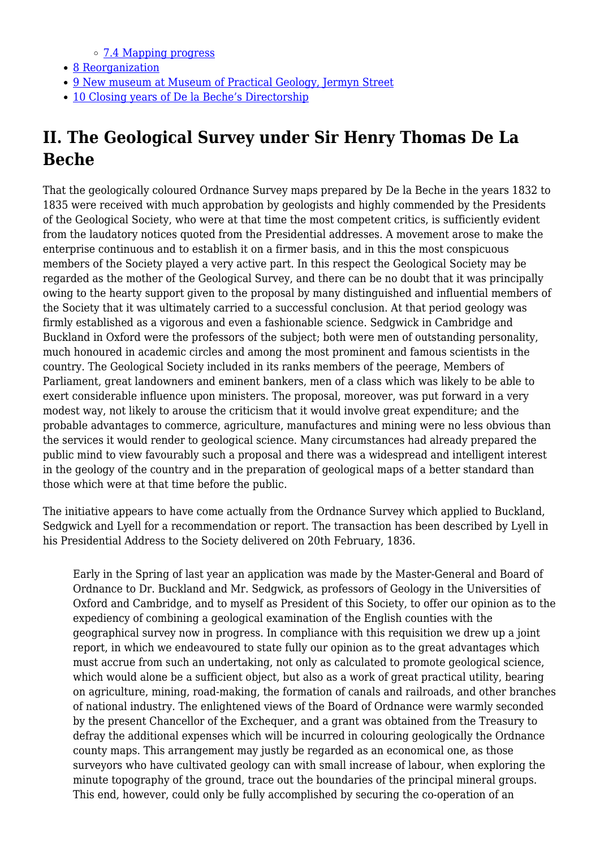[7.4](#page--1-0) [Mapping progress](#page--1-0)

- [8](#page--1-0) [Reorganization](#page--1-0)
- [9](#New_museum_at_Museum_of_Practical_Geology.2C_Jermyn_Street) [New museum at Museum of Practical Geology, Jermyn Street](#New_museum_at_Museum_of_Practical_Geology.2C_Jermyn_Street)
- [10](#Closing_years_of_De_la_Beche.E2.80.99s_Directorship) [Closing years of De la Beche's Directorship](#Closing_years_of_De_la_Beche.E2.80.99s_Directorship)

# **II. The Geological Survey under Sir Henry Thomas De La Beche**

That the geologically coloured Ordnance Survey maps prepared by De la Beche in the years 1832 to 1835 were received with much approbation by geologists and highly commended by the Presidents of the Geological Society, who were at that time the most competent critics, is sufficiently evident from the laudatory notices quoted from the Presidential addresses. A movement arose to make the enterprise continuous and to establish it on a firmer basis, and in this the most conspicuous members of the Society played a very active part. In this respect the Geological Society may be regarded as the mother of the Geological Survey, and there can be no doubt that it was principally owing to the hearty support given to the proposal by many distinguished and influential members of the Society that it was ultimately carried to a successful conclusion. At that period geology was firmly established as a vigorous and even a fashionable science. Sedgwick in Cambridge and Buckland in Oxford were the professors of the subject; both were men of outstanding personality, much honoured in academic circles and among the most prominent and famous scientists in the country. The Geological Society included in its ranks members of the peerage, Members of Parliament, great landowners and eminent bankers, men of a class which was likely to be able to exert considerable influence upon ministers. The proposal, moreover, was put forward in a very modest way, not likely to arouse the criticism that it would involve great expenditure; and the probable advantages to commerce, agriculture, manufactures and mining were no less obvious than the services it would render to geological science. Many circumstances had already prepared the public mind to view favourably such a proposal and there was a widespread and intelligent interest in the geology of the country and in the preparation of geological maps of a better standard than those which were at that time before the public.

The initiative appears to have come actually from the Ordnance Survey which applied to Buckland, Sedgwick and Lyell for a recommendation or report. The transaction has been described by Lyell in his Presidential Address to the Society delivered on 20th February, 1836.

Early in the Spring of last year an application was made by the Master-General and Board of Ordnance to Dr. Buckland and Mr. Sedgwick, as professors of Geology in the Universities of Oxford and Cambridge, and to myself as President of this Society, to offer our opinion as to the expediency of combining a geological examination of the English counties with the geographical survey now in progress. In compliance with this requisition we drew up a joint report, in which we endeavoured to state fully our opinion as to the great advantages which must accrue from such an undertaking, not only as calculated to promote geological science, which would alone be a sufficient object, but also as a work of great practical utility, bearing on agriculture, mining, road-making, the formation of canals and railroads, and other branches of national industry. The enlightened views of the Board of Ordnance were warmly seconded by the present Chancellor of the Exchequer, and a grant was obtained from the Treasury to defray the additional expenses which will be incurred in colouring geologically the Ordnance county maps. This arrangement may justly be regarded as an economical one, as those surveyors who have cultivated geology can with small increase of labour, when exploring the minute topography of the ground, trace out the boundaries of the principal mineral groups. This end, however, could only be fully accomplished by securing the co-operation of an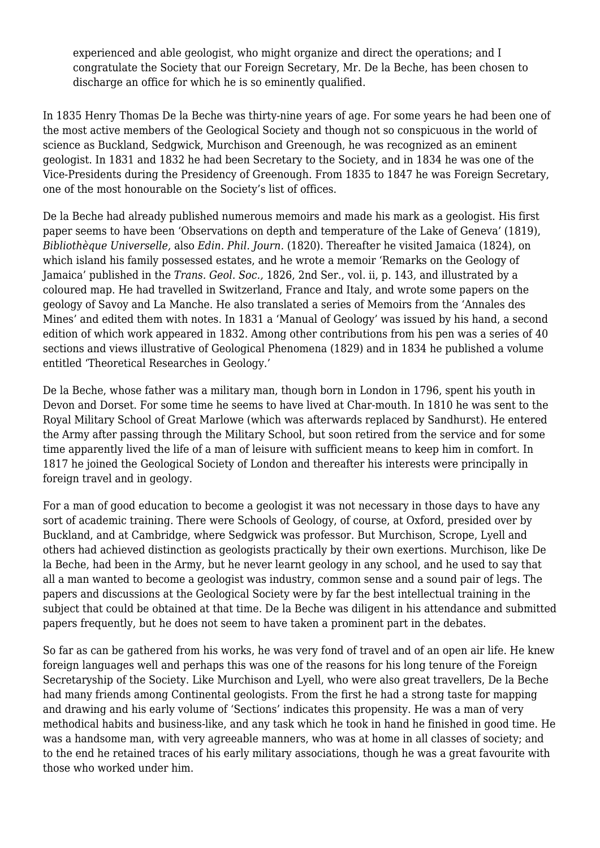experienced and able geologist, who might organize and direct the operations; and I congratulate the Society that our Foreign Secretary, Mr. De la Beche, has been chosen to discharge an office for which he is so eminently qualified.

In 1835 Henry Thomas De la Beche was thirty-nine years of age. For some years he had been one of the most active members of the Geological Society and though not so conspicuous in the world of science as Buckland, Sedgwick, Murchison and Greenough, he was recognized as an eminent geologist. In 1831 and 1832 he had been Secretary to the Society, and in 1834 he was one of the Vice-Presidents during the Presidency of Greenough. From 1835 to 1847 he was Foreign Secretary, one of the most honourable on the Society's list of offices.

De la Beche had already published numerous memoirs and made his mark as a geologist. His first paper seems to have been 'Observations on depth and temperature of the Lake of Geneva' (1819), *Bibliothèque Universelle,* also *Edin. Phil. Journ.* (1820). Thereafter he visited Jamaica (1824), on which island his family possessed estates, and he wrote a memoir 'Remarks on the Geology of Jamaica' published in the *Trans. Geol. Soc.,* 1826, 2nd Ser., vol. ii, p. 143, and illustrated by a coloured map. He had travelled in Switzerland, France and Italy, and wrote some papers on the geology of Savoy and La Manche. He also translated a series of Memoirs from the 'Annales des Mines' and edited them with notes. In 1831 a 'Manual of Geology' was issued by his hand, a second edition of which work appeared in 1832. Among other contributions from his pen was a series of 40 sections and views illustrative of Geological Phenomena (1829) and in 1834 he published a volume entitled 'Theoretical Researches in Geology.'

De la Beche, whose father was a military man, though born in London in 1796, spent his youth in Devon and Dorset. For some time he seems to have lived at Char-mouth. In 1810 he was sent to the Royal Military School of Great Marlowe (which was afterwards replaced by Sandhurst). He entered the Army after passing through the Military School, but soon retired from the service and for some time apparently lived the life of a man of leisure with sufficient means to keep him in comfort. In 1817 he joined the Geological Society of London and thereafter his interests were principally in foreign travel and in geology.

For a man of good education to become a geologist it was not necessary in those days to have any sort of academic training. There were Schools of Geology, of course, at Oxford, presided over by Buckland, and at Cambridge, where Sedgwick was professor. But Murchison, Scrope, Lyell and others had achieved distinction as geologists practically by their own exertions. Murchison, like De la Beche, had been in the Army, but he never learnt geology in any school, and he used to say that all a man wanted to become a geologist was industry, common sense and a sound pair of legs. The papers and discussions at the Geological Society were by far the best intellectual training in the subject that could be obtained at that time. De la Beche was diligent in his attendance and submitted papers frequently, but he does not seem to have taken a prominent part in the debates.

So far as can be gathered from his works, he was very fond of travel and of an open air life. He knew foreign languages well and perhaps this was one of the reasons for his long tenure of the Foreign Secretaryship of the Society. Like Murchison and Lyell, who were also great travellers, De la Beche had many friends among Continental geologists. From the first he had a strong taste for mapping and drawing and his early volume of 'Sections' indicates this propensity. He was a man of very methodical habits and business-like, and any task which he took in hand he finished in good time. He was a handsome man, with very agreeable manners, who was at home in all classes of society; and to the end he retained traces of his early military associations, though he was a great favourite with those who worked under him.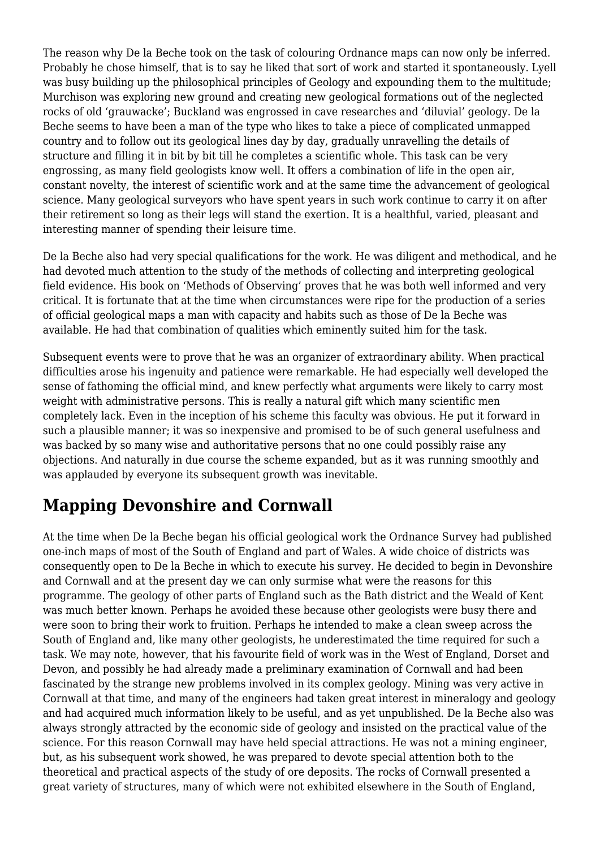The reason why De la Beche took on the task of colouring Ordnance maps can now only be inferred. Probably he chose himself, that is to say he liked that sort of work and started it spontaneously. Lyell was busy building up the philosophical principles of Geology and expounding them to the multitude; Murchison was exploring new ground and creating new geological formations out of the neglected rocks of old 'grauwacke'; Buckland was engrossed in cave researches and 'diluvial' geology. De la Beche seems to have been a man of the type who likes to take a piece of complicated unmapped country and to follow out its geological lines day by day, gradually unravelling the details of structure and filling it in bit by bit till he completes a scientific whole. This task can be very engrossing, as many field geologists know well. It offers a combination of life in the open air, constant novelty, the interest of scientific work and at the same time the advancement of geological science. Many geological surveyors who have spent years in such work continue to carry it on after their retirement so long as their legs will stand the exertion. It is a healthful, varied, pleasant and interesting manner of spending their leisure time.

De la Beche also had very special qualifications for the work. He was diligent and methodical, and he had devoted much attention to the study of the methods of collecting and interpreting geological field evidence. His book on 'Methods of Observing' proves that he was both well informed and very critical. It is fortunate that at the time when circumstances were ripe for the production of a series of official geological maps a man with capacity and habits such as those of De la Beche was available. He had that combination of qualities which eminently suited him for the task.

Subsequent events were to prove that he was an organizer of extraordinary ability. When practical difficulties arose his ingenuity and patience were remarkable. He had especially well developed the sense of fathoming the official mind, and knew perfectly what arguments were likely to carry most weight with administrative persons. This is really a natural gift which many scientific men completely lack. Even in the inception of his scheme this faculty was obvious. He put it forward in such a plausible manner; it was so inexpensive and promised to be of such general usefulness and was backed by so many wise and authoritative persons that no one could possibly raise any objections. And naturally in due course the scheme expanded, but as it was running smoothly and was applauded by everyone its subsequent growth was inevitable.

# **Mapping Devonshire and Cornwall**

At the time when De la Beche began his official geological work the Ordnance Survey had published one-inch maps of most of the South of England and part of Wales. A wide choice of districts was consequently open to De la Beche in which to execute his survey. He decided to begin in Devonshire and Cornwall and at the present day we can only surmise what were the reasons for this programme. The geology of other parts of England such as the Bath district and the Weald of Kent was much better known. Perhaps he avoided these because other geologists were busy there and were soon to bring their work to fruition. Perhaps he intended to make a clean sweep across the South of England and, like many other geologists, he underestimated the time required for such a task. We may note, however, that his favourite field of work was in the West of England, Dorset and Devon, and possibly he had already made a preliminary examination of Cornwall and had been fascinated by the strange new problems involved in its complex geology. Mining was very active in Cornwall at that time, and many of the engineers had taken great interest in mineralogy and geology and had acquired much information likely to be useful, and as yet unpublished. De la Beche also was always strongly attracted by the economic side of geology and insisted on the practical value of the science. For this reason Cornwall may have held special attractions. He was not a mining engineer, but, as his subsequent work showed, he was prepared to devote special attention both to the theoretical and practical aspects of the study of ore deposits. The rocks of Cornwall presented a great variety of structures, many of which were not exhibited elsewhere in the South of England,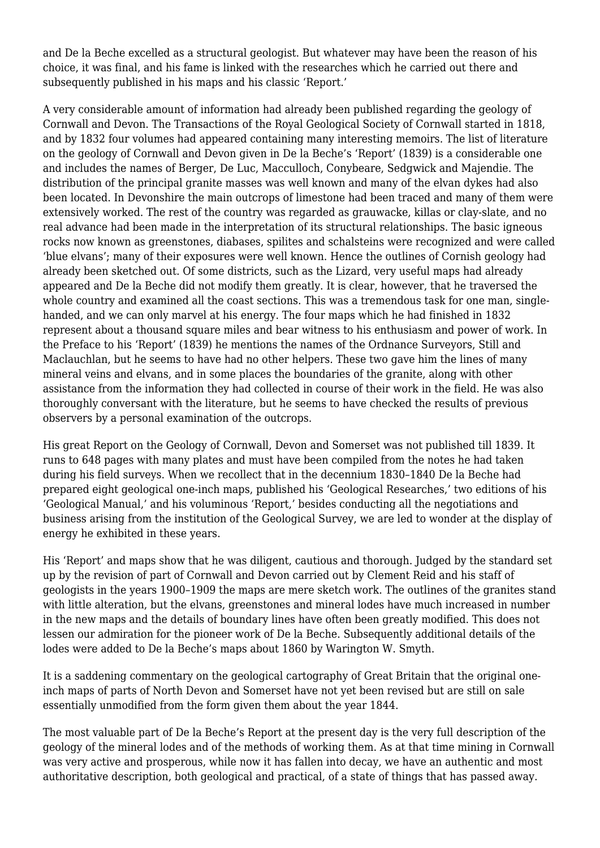and De la Beche excelled as a structural geologist. But whatever may have been the reason of his choice, it was final, and his fame is linked with the researches which he carried out there and subsequently published in his maps and his classic 'Report.'

A very considerable amount of information had already been published regarding the geology of Cornwall and Devon. The Transactions of the Royal Geological Society of Cornwall started in 1818, and by 1832 four volumes had appeared containing many interesting memoirs. The list of literature on the geology of Cornwall and Devon given in De la Beche's 'Report' (1839) is a considerable one and includes the names of Berger, De Luc, Macculloch, Conybeare, Sedgwick and Majendie. The distribution of the principal granite masses was well known and many of the elvan dykes had also been located. In Devonshire the main outcrops of limestone had been traced and many of them were extensively worked. The rest of the country was regarded as grauwacke, killas or clay-slate, and no real advance had been made in the interpretation of its structural relationships. The basic igneous rocks now known as greenstones, diabases, spilites and schalsteins were recognized and were called 'blue elvans'; many of their exposures were well known. Hence the outlines of Cornish geology had already been sketched out. Of some districts, such as the Lizard, very useful maps had already appeared and De la Beche did not modify them greatly. It is clear, however, that he traversed the whole country and examined all the coast sections. This was a tremendous task for one man, singlehanded, and we can only marvel at his energy. The four maps which he had finished in 1832 represent about a thousand square miles and bear witness to his enthusiasm and power of work. In the Preface to his 'Report' (1839) he mentions the names of the Ordnance Surveyors, Still and Maclauchlan, but he seems to have had no other helpers. These two gave him the lines of many mineral veins and elvans, and in some places the boundaries of the granite, along with other assistance from the information they had collected in course of their work in the field. He was also thoroughly conversant with the literature, but he seems to have checked the results of previous observers by a personal examination of the outcrops.

His great Report on the Geology of Cornwall, Devon and Somerset was not published till 1839. It runs to 648 pages with many plates and must have been compiled from the notes he had taken during his field surveys. When we recollect that in the decennium 1830–1840 De la Beche had prepared eight geological one-inch maps, published his 'Geological Researches,' two editions of his 'Geological Manual,' and his voluminous 'Report,' besides conducting all the negotiations and business arising from the institution of the Geological Survey, we are led to wonder at the display of energy he exhibited in these years.

His 'Report' and maps show that he was diligent, cautious and thorough. Judged by the standard set up by the revision of part of Cornwall and Devon carried out by Clement Reid and his staff of geologists in the years 1900–1909 the maps are mere sketch work. The outlines of the granites stand with little alteration, but the elvans, greenstones and mineral lodes have much increased in number in the new maps and the details of boundary lines have often been greatly modified. This does not lessen our admiration for the pioneer work of De la Beche. Subsequently additional details of the lodes were added to De la Beche's maps about 1860 by Warington W. Smyth.

It is a saddening commentary on the geological cartography of Great Britain that the original oneinch maps of parts of North Devon and Somerset have not yet been revised but are still on sale essentially unmodified from the form given them about the year 1844.

The most valuable part of De la Beche's Report at the present day is the very full description of the geology of the mineral lodes and of the methods of working them. As at that time mining in Cornwall was very active and prosperous, while now it has fallen into decay, we have an authentic and most authoritative description, both geological and practical, of a state of things that has passed away.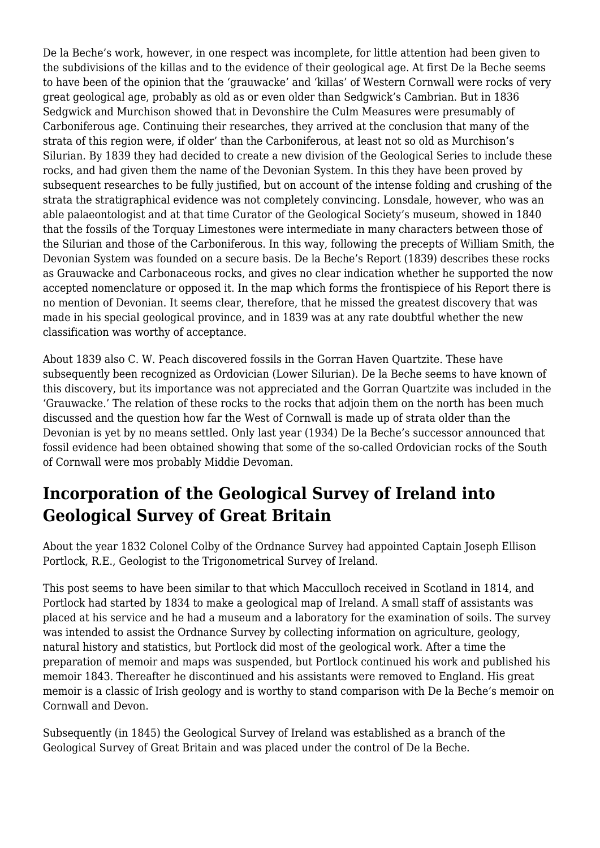De la Beche's work, however, in one respect was incomplete, for little attention had been given to the subdivisions of the killas and to the evidence of their geological age. At first De la Beche seems to have been of the opinion that the 'grauwacke' and 'killas' of Western Cornwall were rocks of very great geological age, probably as old as or even older than Sedgwick's Cambrian. But in 1836 Sedgwick and Murchison showed that in Devonshire the Culm Measures were presumably of Carboniferous age. Continuing their researches, they arrived at the conclusion that many of the strata of this region were, if older' than the Carboniferous, at least not so old as Murchison's Silurian. By 1839 they had decided to create a new division of the Geological Series to include these rocks, and had given them the name of the Devonian System. In this they have been proved by subsequent researches to be fully justified, but on account of the intense folding and crushing of the strata the stratigraphical evidence was not completely convincing. Lonsdale, however, who was an able palaeontologist and at that time Curator of the Geological Society's museum, showed in 1840 that the fossils of the Torquay Limestones were intermediate in many characters between those of the Silurian and those of the Carboniferous. In this way, following the precepts of William Smith, the Devonian System was founded on a secure basis. De la Beche's Report (1839) describes these rocks as Grauwacke and Carbonaceous rocks, and gives no clear indication whether he supported the now accepted nomenclature or opposed it. In the map which forms the frontispiece of his Report there is no mention of Devonian. It seems clear, therefore, that he missed the greatest discovery that was made in his special geological province, and in 1839 was at any rate doubtful whether the new classification was worthy of acceptance.

About 1839 also C. W. Peach discovered fossils in the Gorran Haven Quartzite. These have subsequently been recognized as Ordovician (Lower Silurian). De la Beche seems to have known of this discovery, but its importance was not appreciated and the Gorran Quartzite was included in the 'Grauwacke.' The relation of these rocks to the rocks that adjoin them on the north has been much discussed and the question how far the West of Cornwall is made up of strata older than the Devonian is yet by no means settled. Only last year (1934) De la Beche's successor announced that fossil evidence had been obtained showing that some of the so-called Ordovician rocks of the South of Cornwall were mos probably Middie Devoman.

# **Incorporation of the Geological Survey of Ireland into Geological Survey of Great Britain**

About the year 1832 Colonel Colby of the Ordnance Survey had appointed Captain Joseph Ellison Portlock, R.E., Geologist to the Trigonometrical Survey of Ireland.

This post seems to have been similar to that which Macculloch received in Scotland in 1814, and Portlock had started by 1834 to make a geological map of Ireland. A small staff of assistants was placed at his service and he had a museum and a laboratory for the examination of soils. The survey was intended to assist the Ordnance Survey by collecting information on agriculture, geology, natural history and statistics, but Portlock did most of the geological work. After a time the preparation of memoir and maps was suspended, but Portlock continued his work and published his memoir 1843. Thereafter he discontinued and his assistants were removed to England. His great memoir is a classic of Irish geology and is worthy to stand comparison with De la Beche's memoir on Cornwall and Devon.

Subsequently (in 1845) the Geological Survey of Ireland was established as a branch of the Geological Survey of Great Britain and was placed under the control of De la Beche.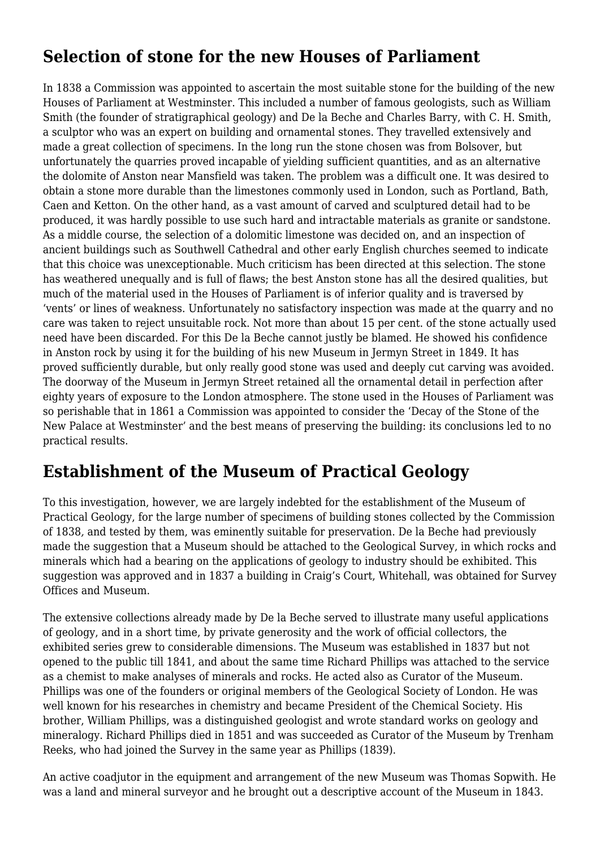# **Selection of stone for the new Houses of Parliament**

In 1838 a Commission was appointed to ascertain the most suitable stone for the building of the new Houses of Parliament at Westminster. This included a number of famous geologists, such as William Smith (the founder of stratigraphical geology) and De la Beche and Charles Barry, with C. H. Smith, a sculptor who was an expert on building and ornamental stones. They travelled extensively and made a great collection of specimens. In the long run the stone chosen was from Bolsover, but unfortunately the quarries proved incapable of yielding sufficient quantities, and as an alternative the dolomite of Anston near Mansfield was taken. The problem was a difficult one. It was desired to obtain a stone more durable than the limestones commonly used in London, such as Portland, Bath, Caen and Ketton. On the other hand, as a vast amount of carved and sculptured detail had to be produced, it was hardly possible to use such hard and intractable materials as granite or sandstone. As a middle course, the selection of a dolomitic limestone was decided on, and an inspection of ancient buildings such as Southwell Cathedral and other early English churches seemed to indicate that this choice was unexceptionable. Much criticism has been directed at this selection. The stone has weathered unequally and is full of flaws; the best Anston stone has all the desired qualities, but much of the material used in the Houses of Parliament is of inferior quality and is traversed by 'vents' or lines of weakness. Unfortunately no satisfactory inspection was made at the quarry and no care was taken to reject unsuitable rock. Not more than about 15 per cent. of the stone actually used need have been discarded. For this De la Beche cannot justly be blamed. He showed his confidence in Anston rock by using it for the building of his new Museum in Jermyn Street in 1849. It has proved sufficiently durable, but only really good stone was used and deeply cut carving was avoided. The doorway of the Museum in Jermyn Street retained all the ornamental detail in perfection after eighty years of exposure to the London atmosphere. The stone used in the Houses of Parliament was so perishable that in 1861 a Commission was appointed to consider the 'Decay of the Stone of the New Palace at Westminster' and the best means of preserving the building: its conclusions led to no practical results.

## **Establishment of the Museum of Practical Geology**

To this investigation, however, we are largely indebted for the establishment of the Museum of Practical Geology, for the large number of specimens of building stones collected by the Commission of 1838*,* and tested by them, was eminently suitable for preservation. De la Beche had previously made the suggestion that a Museum should be attached to the Geological Survey, in which rocks and minerals which had a bearing on the applications of geology to industry should be exhibited. This suggestion was approved and in 1837 a building in Craig's Court, Whitehall, was obtained for Survey Offices and Museum.

The extensive collections already made by De la Beche served to illustrate many useful applications of geology, and in a short time, by private generosity and the work of official collectors, the exhibited series grew to considerable dimensions. The Museum was established in 1837 but not opened to the public till 1841, and about the same time Richard Phillips was attached to the service as a chemist to make analyses of minerals and rocks. He acted also as Curator of the Museum. Phillips was one of the founders or original members of the Geological Society of London. He was well known for his researches in chemistry and became President of the Chemical Society. His brother, William Phillips, was a distinguished geologist and wrote standard works on geology and mineralogy. Richard Phillips died in 1851 and was succeeded as Curator of the Museum by Trenham Reeks, who had joined the Survey in the same year as Phillips (1839).

An active coadjutor in the equipment and arrangement of the new Museum was Thomas Sopwith. He was a land and mineral surveyor and he brought out a descriptive account of the Museum in 1843.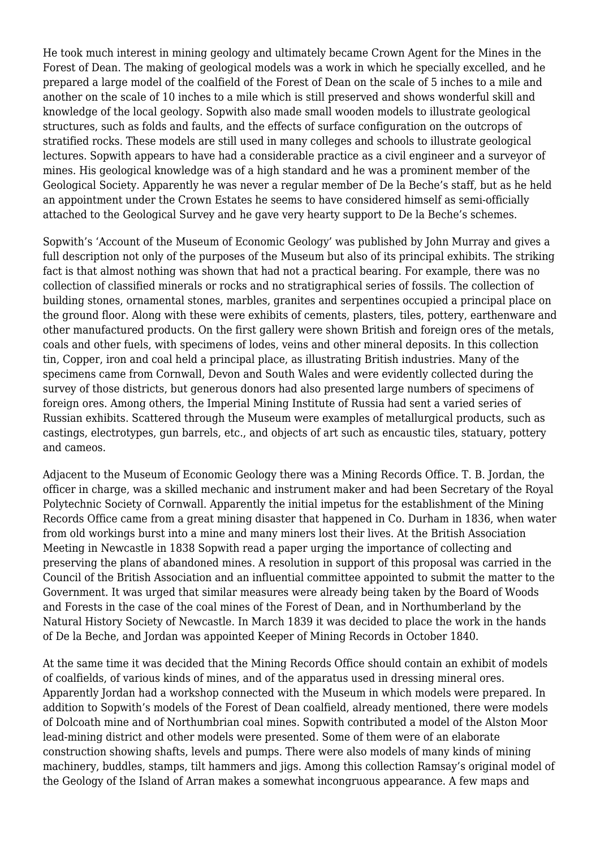He took much interest in mining geology and ultimately became Crown Agent for the Mines in the Forest of Dean. The making of geological models was a work in which he specially excelled, and he prepared a large model of the coalfield of the Forest of Dean on the scale of 5 inches to a mile and another on the scale of 10 inches to a mile which is still preserved and shows wonderful skill and knowledge of the local geology. Sopwith also made small wooden models to illustrate geological structures, such as folds and faults, and the effects of surface configuration on the outcrops of stratified rocks. These models are still used in many colleges and schools to illustrate geological lectures. Sopwith appears to have had a considerable practice as a civil engineer and a surveyor of mines. His geological knowledge was of a high standard and he was a prominent member of the Geological Society. Apparently he was never a regular member of De la Beche's staff, but as he held an appointment under the Crown Estates he seems to have considered himself as semi-officially attached to the Geological Survey and he gave very hearty support to De la Beche's schemes.

Sopwith's 'Account of the Museum of Economic Geology' was published by John Murray and gives a full description not only of the purposes of the Museum but also of its principal exhibits. The striking fact is that almost nothing was shown that had not a practical bearing. For example, there was no collection of classified minerals or rocks and no stratigraphical series of fossils. The collection of building stones, ornamental stones, marbles, granites and serpentines occupied a principal place on the ground floor. Along with these were exhibits of cements, plasters, tiles, pottery, earthenware and other manufactured products. On the first gallery were shown British and foreign ores of the metals, coals and other fuels, with specimens of lodes, veins and other mineral deposits. In this collection tin, Copper, iron and coal held a principal place, as illustrating British industries. Many of the specimens came from Cornwall, Devon and South Wales and were evidently collected during the survey of those districts, but generous donors had also presented large numbers of specimens of foreign ores. Among others, the Imperial Mining Institute of Russia had sent a varied series of Russian exhibits. Scattered through the Museum were examples of metallurgical products, such as castings, electrotypes, gun barrels, etc., and objects of art such as encaustic tiles, statuary, pottery and cameos.

Adjacent to the Museum of Economic Geology there was a Mining Records Office. T. B. Jordan, the officer in charge, was a skilled mechanic and instrument maker and had been Secretary of the Royal Polytechnic Society of Cornwall. Apparently the initial impetus for the establishment of the Mining Records Office came from a great mining disaster that happened in Co. Durham in 1836, when water from old workings burst into a mine and many miners lost their lives. At the British Association Meeting in Newcastle in 1838 Sopwith read a paper urging the importance of collecting and preserving the plans of abandoned mines. A resolution in support of this proposal was carried in the Council of the British Association and an influential committee appointed to submit the matter to the Government. It was urged that similar measures were already being taken by the Board of Woods and Forests in the case of the coal mines of the Forest of Dean, and in Northumberland by the Natural History Society of Newcastle. In March 1839 it was decided to place the work in the hands of De la Beche, and Jordan was appointed Keeper of Mining Records in October 1840.

At the same time it was decided that the Mining Records Office should contain an exhibit of models of coalfields, of various kinds of mines, and of the apparatus used in dressing mineral ores. Apparently Jordan had a workshop connected with the Museum in which models were prepared. In addition to Sopwith's models of the Forest of Dean coalfield, already mentioned, there were models of Dolcoath mine and of Northumbrian coal mines. Sopwith contributed a model of the Alston Moor lead-mining district and other models were presented. Some of them were of an elaborate construction showing shafts, levels and pumps. There were also models of many kinds of mining machinery, buddles, stamps, tilt hammers and jigs. Among this collection Ramsay's original model of the Geology of the Island of Arran makes a somewhat incongruous appearance. A few maps and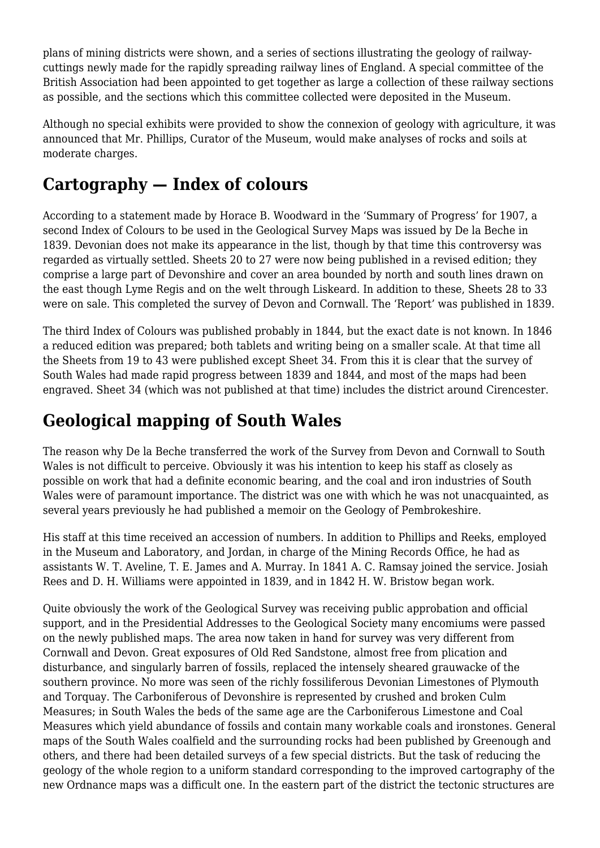plans of mining districts were shown, and a series of sections illustrating the geology of railwaycuttings newly made for the rapidly spreading railway lines of England. A special committee of the British Association had been appointed to get together as large a collection of these railway sections as possible, and the sections which this committee collected were deposited in the Museum.

Although no special exhibits were provided to show the connexion of geology with agriculture, it was announced that Mr. Phillips, Curator of the Museum, would make analyses of rocks and soils at moderate charges.

### **Cartography — Index of colours**

According to a statement made by Horace B. Woodward in the 'Summary of Progress' for 1907, a second Index of Colours to be used in the Geological Survey Maps was issued by De la Beche in 1839. Devonian does not make its appearance in the list, though by that time this controversy was regarded as virtually settled. Sheets 20 to 27 were now being published in a revised edition; they comprise a large part of Devonshire and cover an area bounded by north and south lines drawn on the east though Lyme Regis and on the welt through Liskeard. In addition to these, Sheets 28 to 33 were on sale. This completed the survey of Devon and Cornwall. The 'Report' was published in 1839.

The third Index of Colours was published probably in 1844, but the exact date is not known. In 1846 a reduced edition was prepared; both tablets and writing being on a smaller scale. At that time all the Sheets from 19 to 43 were published except Sheet 34. From this it is clear that the survey of South Wales had made rapid progress between 1839 and 1844, and most of the maps had been engraved. Sheet 34 (which was not published at that time) includes the district around Cirencester.

# **Geological mapping of South Wales**

The reason why De la Beche transferred the work of the Survey from Devon and Cornwall to South Wales is not difficult to perceive. Obviously it was his intention to keep his staff as closely as possible on work that had a definite economic bearing, and the coal and iron industries of South Wales were of paramount importance. The district was one with which he was not unacquainted, as several years previously he had published a memoir on the Geology of Pembrokeshire.

His staff at this time received an accession of numbers. In addition to Phillips and Reeks, employed in the Museum and Laboratory, and Jordan, in charge of the Mining Records Office, he had as assistants W. T. Aveline, T. E. James and A. Murray. In 1841 A. C. Ramsay joined the service. Josiah Rees and D. H. Williams were appointed in 1839, and in 1842 H. W. Bristow began work.

Quite obviously the work of the Geological Survey was receiving public approbation and official support, and in the Presidential Addresses to the Geological Society many encomiums were passed on the newly published maps. The area now taken in hand for survey was very different from Cornwall and Devon. Great exposures of Old Red Sandstone, almost free from plication and disturbance, and singularly barren of fossils, replaced the intensely sheared grauwacke of the southern province. No more was seen of the richly fossiliferous Devonian Limestones of Plymouth and Torquay. The Carboniferous of Devonshire is represented by crushed and broken Culm Measures; in South Wales the beds of the same age are the Carboniferous Limestone and Coal Measures which yield abundance of fossils and contain many workable coals and ironstones. General maps of the South Wales coalfield and the surrounding rocks had been published by Greenough and others, and there had been detailed surveys of a few special districts. But the task of reducing the geology of the whole region to a uniform standard corresponding to the improved cartography of the new Ordnance maps was a difficult one. In the eastern part of the district the tectonic structures are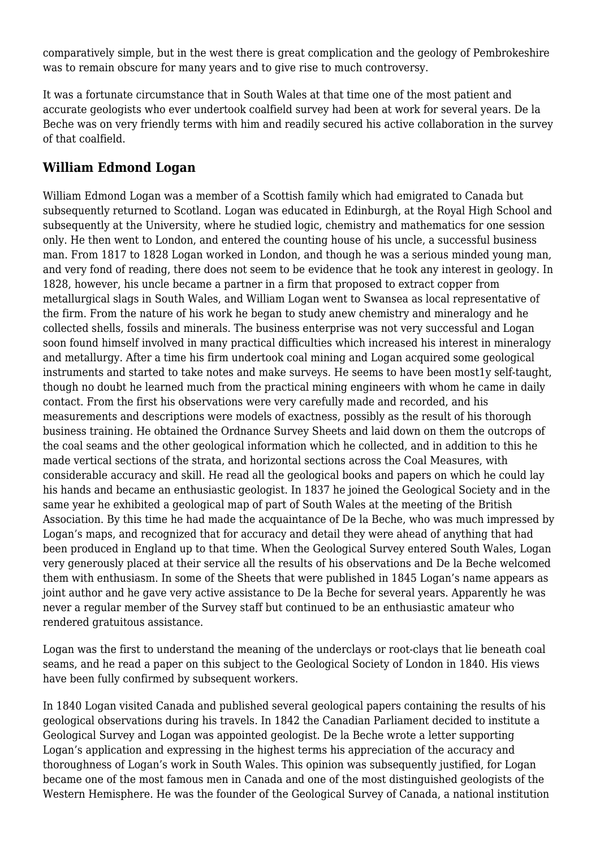comparatively simple, but in the west there is great complication and the geology of Pembrokeshire was to remain obscure for many years and to give rise to much controversy.

It was a fortunate circumstance that in South Wales at that time one of the most patient and accurate geologists who ever undertook coalfield survey had been at work for several years. De la Beche was on very friendly terms with him and readily secured his active collaboration in the survey of that coalfield.

#### **William Edmond Logan**

William Edmond Logan was a member of a Scottish family which had emigrated to Canada but subsequently returned to Scotland. Logan was educated in Edinburgh, at the Royal High School and subsequently at the University, where he studied logic, chemistry and mathematics for one session only. He then went to London, and entered the counting house of his uncle, a successful business man. From 1817 to 1828 Logan worked in London, and though he was a serious minded young man, and very fond of reading, there does not seem to be evidence that he took any interest in geology. In 1828, however, his uncle became a partner in a firm that proposed to extract copper from metallurgical slags in South Wales, and William Logan went to Swansea as local representative of the firm. From the nature of his work he began to study anew chemistry and mineralogy and he collected shells, fossils and minerals. The business enterprise was not very successful and Logan soon found himself involved in many practical difficulties which increased his interest in mineralogy and metallurgy. After a time his firm undertook coal mining and Logan acquired some geological instruments and started to take notes and make surveys. He seems to have been most1y self-taught, though no doubt he learned much from the practical mining engineers with whom he came in daily contact. From the first his observations were very carefully made and recorded, and his measurements and descriptions were models of exactness, possibly as the result of his thorough business training. He obtained the Ordnance Survey Sheets and laid down on them the outcrops of the coal seams and the other geological information which he collected, and in addition to this he made vertical sections of the strata, and horizontal sections across the Coal Measures, with considerable accuracy and skill. He read all the geological books and papers on which he could lay his hands and became an enthusiastic geologist. In 1837 he joined the Geological Society and in the same year he exhibited a geological map of part of South Wales at the meeting of the British Association. By this time he had made the acquaintance of De la Beche, who was much impressed by Logan's maps, and recognized that for accuracy and detail they were ahead of anything that had been produced in England up to that time. When the Geological Survey entered South Wales, Logan very generously placed at their service all the results of his observations and De la Beche welcomed them with enthusiasm. In some of the Sheets that were published in 1845 Logan's name appears as joint author and he gave very active assistance to De la Beche for several years. Apparently he was never a regular member of the Survey staff but continued to be an enthusiastic amateur who rendered gratuitous assistance.

Logan was the first to understand the meaning of the underclays or root-clays that lie beneath coal seams, and he read a paper on this subject to the Geological Society of London in 1840. His views have been fully confirmed by subsequent workers.

In 1840 Logan visited Canada and published several geological papers containing the results of his geological observations during his travels. In 1842 the Canadian Parliament decided to institute a Geological Survey and Logan was appointed geologist. De la Beche wrote a letter supporting Logan's application and expressing in the highest terms his appreciation of the accuracy and thoroughness of Logan's work in South Wales. This opinion was subsequently justified, for Logan became one of the most famous men in Canada and one of the most distinguished geologists of the Western Hemisphere. He was the founder of the Geological Survey of Canada, a national institution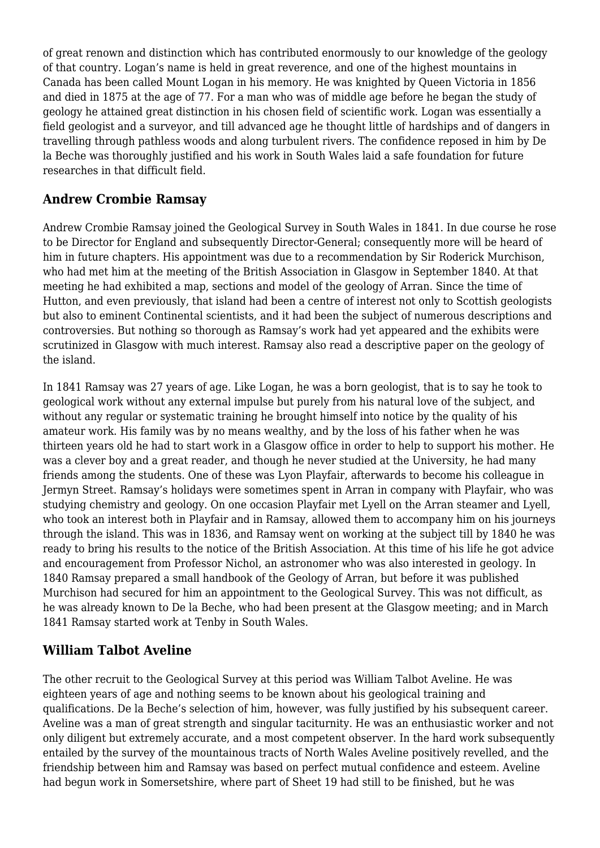of great renown and distinction which has contributed enormously to our knowledge of the geology of that country. Logan's name is held in great reverence, and one of the highest mountains in Canada has been called Mount Logan in his memory. He was knighted by Queen Victoria in 1856 and died in 1875 at the age of 77. For a man who was of middle age before he began the study of geology he attained great distinction in his chosen field of scientific work. Logan was essentially a field geologist and a surveyor, and till advanced age he thought little of hardships and of dangers in travelling through pathless woods and along turbulent rivers. The confidence reposed in him by De la Beche was thoroughly justified and his work in South Wales laid a safe foundation for future researches in that difficult field.

### **Andrew Crombie Ramsay**

Andrew Crombie Ramsay joined the Geological Survey in South Wales in 1841. In due course he rose to be Director for England and subsequently Director-General; consequently more will be heard of him in future chapters. His appointment was due to a recommendation by Sir Roderick Murchison, who had met him at the meeting of the British Association in Glasgow in September 1840. At that meeting he had exhibited a map, sections and model of the geology of Arran. Since the time of Hutton, and even previously, that island had been a centre of interest not only to Scottish geologists but also to eminent Continental scientists, and it had been the subject of numerous descriptions and controversies. But nothing so thorough as Ramsay's work had yet appeared and the exhibits were scrutinized in Glasgow with much interest. Ramsay also read a descriptive paper on the geology of the island.

In 1841 Ramsay was 27 years of age. Like Logan, he was a born geologist, that is to say he took to geological work without any external impulse but purely from his natural love of the subject, and without any regular or systematic training he brought himself into notice by the quality of his amateur work. His family was by no means wealthy, and by the loss of his father when he was thirteen years old he had to start work in a Glasgow office in order to help to support his mother. He was a clever boy and a great reader, and though he never studied at the University, he had many friends among the students. One of these was Lyon Playfair, afterwards to become his colleague in Jermyn Street. Ramsay's holidays were sometimes spent in Arran in company with Playfair, who was studying chemistry and geology. On one occasion Playfair met Lyell on the Arran steamer and Lyell, who took an interest both in Playfair and in Ramsay, allowed them to accompany him on his journeys through the island. This was in 1836, and Ramsay went on working at the subject till by 1840 he was ready to bring his results to the notice of the British Association. At this time of his life he got advice and encouragement from Professor Nichol, an astronomer who was also interested in geology. In 1840 Ramsay prepared a small handbook of the Geology of Arran, but before it was published Murchison had secured for him an appointment to the Geological Survey. This was not difficult, as he was already known to De la Beche, who had been present at the Glasgow meeting; and in March 1841 Ramsay started work at Tenby in South Wales.

### **William Talbot Aveline**

The other recruit to the Geological Survey at this period was William Talbot Aveline. He was eighteen years of age and nothing seems to be known about his geological training and qualifications. De la Beche's selection of him, however, was fully justified by his subsequent career. Aveline was a man of great strength and singular taciturnity. He was an enthusiastic worker and not only diligent but extremely accurate, and a most competent observer. In the hard work subsequently entailed by the survey of the mountainous tracts of North Wales Aveline positively revelled, and the friendship between him and Ramsay was based on perfect mutual confidence and esteem. Aveline had begun work in Somersetshire, where part of Sheet 19 had still to be finished, but he was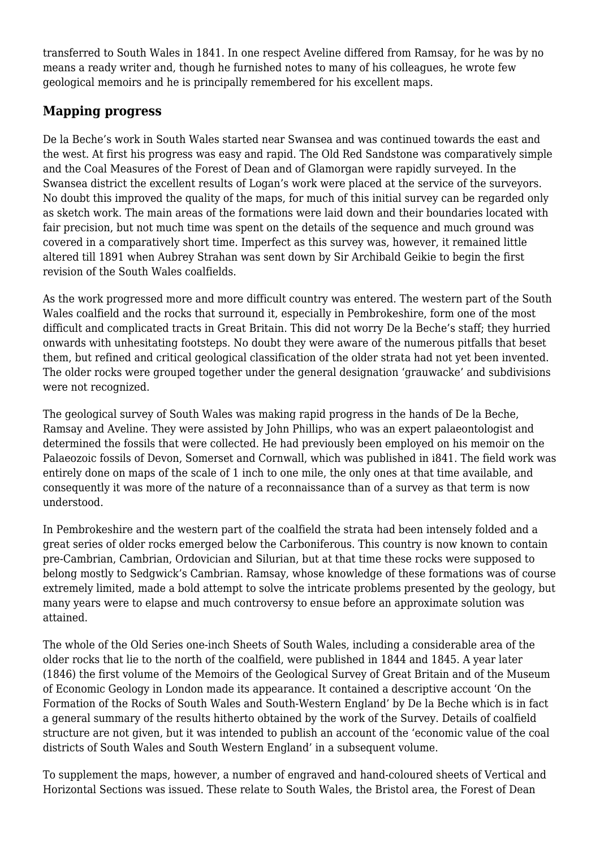transferred to South Wales in 1841. In one respect Aveline differed from Ramsay, for he was by no means a ready writer and, though he furnished notes to many of his colleagues, he wrote few geological memoirs and he is principally remembered for his excellent maps.

### **Mapping progress**

De la Beche's work in South Wales started near Swansea and was continued towards the east and the west. At first his progress was easy and rapid. The Old Red Sandstone was comparatively simple and the Coal Measures of the Forest of Dean and of Glamorgan were rapidly surveyed. In the Swansea district the excellent results of Logan's work were placed at the service of the surveyors. No doubt this improved the quality of the maps, for much of this initial survey can be regarded only as sketch work. The main areas of the formations were laid down and their boundaries located with fair precision, but not much time was spent on the details of the sequence and much ground was covered in a comparatively short time. Imperfect as this survey was, however, it remained little altered till 1891 when Aubrey Strahan was sent down by Sir Archibald Geikie to begin the first revision of the South Wales coalfields.

As the work progressed more and more difficult country was entered. The western part of the South Wales coalfield and the rocks that surround it, especially in Pembrokeshire, form one of the most difficult and complicated tracts in Great Britain. This did not worry De la Beche's staff; they hurried onwards with unhesitating footsteps. No doubt they were aware of the numerous pitfalls that beset them, but refined and critical geological classification of the older strata had not yet been invented. The older rocks were grouped together under the general designation 'grauwacke' and subdivisions were not recognized.

The geological survey of South Wales was making rapid progress in the hands of De la Beche, Ramsay and Aveline. They were assisted by John Phillips, who was an expert palaeontologist and determined the fossils that were collected. He had previously been employed on his memoir on the Palaeozoic fossils of Devon, Somerset and Cornwall, which was published in i841. The field work was entirely done on maps of the scale of 1 inch to one mile, the only ones at that time available, and consequently it was more of the nature of a reconnaissance than of a survey as that term is now understood.

In Pembrokeshire and the western part of the coalfield the strata had been intensely folded and a great series of older rocks emerged below the Carboniferous. This country is now known to contain pre-Cambrian, Cambrian, Ordovician and Silurian, but at that time these rocks were supposed to belong mostly to Sedgwick's Cambrian. Ramsay, whose knowledge of these formations was of course extremely limited, made a bold attempt to solve the intricate problems presented by the geology, but many years were to elapse and much controversy to ensue before an approximate solution was attained.

The whole of the Old Series one-inch Sheets of South Wales, including a considerable area of the older rocks that lie to the north of the coalfield, were published in 1844 and 1845. A year later (1846) the first volume of the Memoirs of the Geological Survey of Great Britain and of the Museum of Economic Geology in London made its appearance. It contained a descriptive account 'On the Formation of the Rocks of South Wales and South-Western England' by De la Beche which is in fact a general summary of the results hitherto obtained by the work of the Survey. Details of coalfield structure are not given, but it was intended to publish an account of the 'economic value of the coal districts of South Wales and South Western England' in a subsequent volume.

To supplement the maps, however, a number of engraved and hand-coloured sheets of Vertical and Horizontal Sections was issued. These relate to South Wales, the Bristol area, the Forest of Dean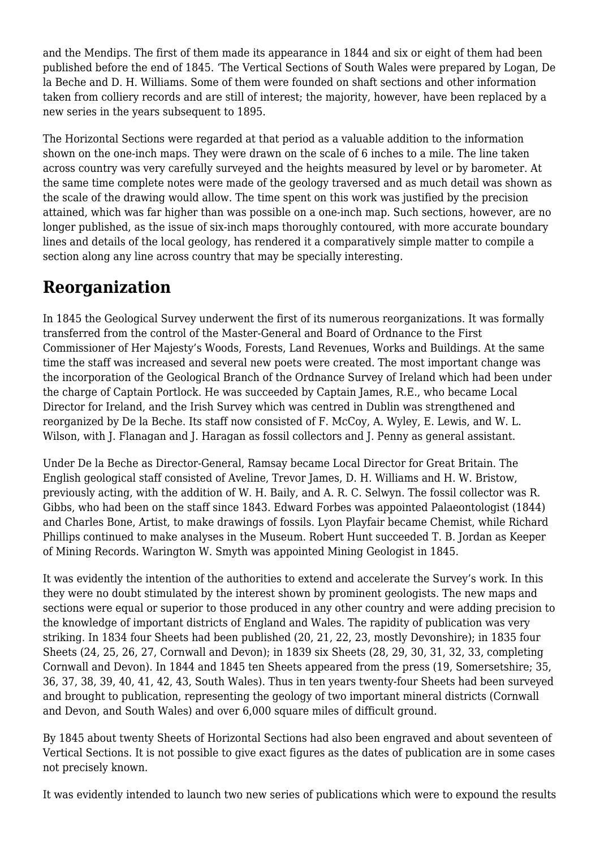and the Mendips. The first of them made its appearance in 1844 and six or eight of them had been published before the end of 1845. 'The Vertical Sections of South Wales were prepared by Logan, De la Beche and D. H. Williams. Some of them were founded on shaft sections and other information taken from colliery records and are still of interest; the majority, however, have been replaced by a new series in the years subsequent to 1895.

The Horizontal Sections were regarded at that period as a valuable addition to the information shown on the one-inch maps. They were drawn on the scale of 6 inches to a mile. The line taken across country was very carefully surveyed and the heights measured by level or by barometer. At the same time complete notes were made of the geology traversed and as much detail was shown as the scale of the drawing would allow. The time spent on this work was justified by the precision attained, which was far higher than was possible on a one-inch map. Such sections, however, are no longer published, as the issue of six-inch maps thoroughly contoured, with more accurate boundary lines and details of the local geology, has rendered it a comparatively simple matter to compile a section along any line across country that may be specially interesting.

### **Reorganization**

In 1845 the Geological Survey underwent the first of its numerous reorganizations. It was formally transferred from the control of the Master-General and Board of Ordnance to the First Commissioner of Her Majesty's Woods, Forests, Land Revenues, Works and Buildings. At the same time the staff was increased and several new poets were created. The most important change was the incorporation of the Geological Branch of the Ordnance Survey of Ireland which had been under the charge of Captain Portlock. He was succeeded by Captain James, R.E., who became Local Director for Ireland, and the Irish Survey which was centred in Dublin was strengthened and reorganized by De la Beche. Its staff now consisted of F. McCoy, A. Wyley, E. Lewis, and W. L. Wilson, with J. Flanagan and J. Haragan as fossil collectors and J. Penny as general assistant.

Under De la Beche as Director-General, Ramsay became Local Director for Great Britain. The English geological staff consisted of Aveline, Trevor James, D. H. Williams and H. W. Bristow, previously acting, with the addition of W. H. Baily, and A. R. C. Selwyn. The fossil collector was R. Gibbs, who had been on the staff since 1843. Edward Forbes was appointed Palaeontologist (1844) and Charles Bone, Artist, to make drawings of fossils. Lyon Playfair became Chemist, while Richard Phillips continued to make analyses in the Museum. Robert Hunt succeeded T. B. Jordan as Keeper of Mining Records. Warington W. Smyth was appointed Mining Geologist in 1845.

It was evidently the intention of the authorities to extend and accelerate the Survey's work. In this they were no doubt stimulated by the interest shown by prominent geologists. The new maps and sections were equal or superior to those produced in any other country and were adding precision to the knowledge of important districts of England and Wales. The rapidity of publication was very striking. In 1834 four Sheets had been published (20, 21, 22, 23, mostly Devonshire); in 1835 four Sheets (24, 25, 26, 27, Cornwall and Devon); in 1839 six Sheets (28, 29, 30, 31, 32, 33, completing Cornwall and Devon). In 1844 and 1845 ten Sheets appeared from the press (19, Somersetshire; 35, 36, 37, 38, 39, 40, 41, 42, 43, South Wales). Thus in ten years twenty-four Sheets had been surveyed and brought to publication, representing the geology of two important mineral districts (Cornwall and Devon, and South Wales) and over 6,000 square miles of difficult ground.

By 1845 about twenty Sheets of Horizontal Sections had also been engraved and about seventeen of Vertical Sections. It is not possible to give exact figures as the dates of publication are in some cases not precisely known.

It was evidently intended to launch two new series of publications which were to expound the results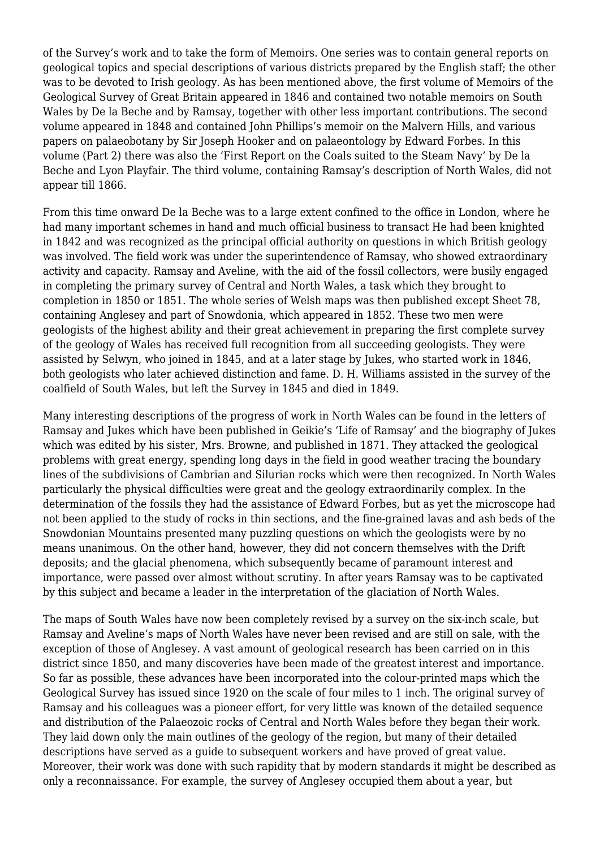of the Survey's work and to take the form of Memoirs. One series was to contain general reports on geological topics and special descriptions of various districts prepared by the English staff; the other was to be devoted to Irish geology. As has been mentioned above, the first volume of Memoirs of the Geological Survey of Great Britain appeared in 1846 and contained two notable memoirs on South Wales by De la Beche and by Ramsay, together with other less important contributions. The second volume appeared in 1848 and contained John Phillips's memoir on the Malvern Hills, and various papers on palaeobotany by Sir Joseph Hooker and on palaeontology by Edward Forbes. In this volume (Part 2) there was also the 'First Report on the Coals suited to the Steam Navy' by De la Beche and Lyon Playfair. The third volume, containing Ramsay's description of North Wales, did not appear till 1866.

From this time onward De la Beche was to a large extent confined to the office in London, where he had many important schemes in hand and much official business to transact He had been knighted in 1842 and was recognized as the principal official authority on questions in which British geology was involved. The field work was under the superintendence of Ramsay, who showed extraordinary activity and capacity. Ramsay and Aveline, with the aid of the fossil collectors, were busily engaged in completing the primary survey of Central and North Wales, a task which they brought to completion in 1850 or 1851. The whole series of Welsh maps was then published except Sheet 78, containing Anglesey and part of Snowdonia, which appeared in 1852. These two men were geologists of the highest ability and their great achievement in preparing the first complete survey of the geology of Wales has received full recognition from all succeeding geologists. They were assisted by Selwyn, who joined in 1845, and at a later stage by Jukes, who started work in 1846, both geologists who later achieved distinction and fame. D. H. Williams assisted in the survey of the coalfield of South Wales, but left the Survey in 1845 and died in 1849.

Many interesting descriptions of the progress of work in North Wales can be found in the letters of Ramsay and Jukes which have been published in Geikie's 'Life of Ramsay' and the biography of Jukes which was edited by his sister, Mrs. Browne, and published in 1871. They attacked the geological problems with great energy, spending long days in the field in good weather tracing the boundary lines of the subdivisions of Cambrian and Silurian rocks which were then recognized. In North Wales particularly the physical difficulties were great and the geology extraordinarily complex. In the determination of the fossils they had the assistance of Edward Forbes, but as yet the microscope had not been applied to the study of rocks in thin sections, and the fine-grained lavas and ash beds of the Snowdonian Mountains presented many puzzling questions on which the geologists were by no means unanimous. On the other hand, however, they did not concern themselves with the Drift deposits; and the glacial phenomena, which subsequently became of paramount interest and importance, were passed over almost without scrutiny. In after years Ramsay was to be captivated by this subject and became a leader in the interpretation of the glaciation of North Wales.

The maps of South Wales have now been completely revised by a survey on the six-inch scale, but Ramsay and Aveline's maps of North Wales have never been revised and are still on sale, with the exception of those of Anglesey. A vast amount of geological research has been carried on in this district since 1850, and many discoveries have been made of the greatest interest and importance. So far as possible, these advances have been incorporated into the colour-printed maps which the Geological Survey has issued since 1920 on the scale of four miles to 1 inch. The original survey of Ramsay and his colleagues was a pioneer effort, for very little was known of the detailed sequence and distribution of the Palaeozoic rocks of Central and North Wales before they began their work. They laid down only the main outlines of the geology of the region, but many of their detailed descriptions have served as a guide to subsequent workers and have proved of great value. Moreover, their work was done with such rapidity that by modern standards it might be described as only a reconnaissance. For example, the survey of Anglesey occupied them about a year, but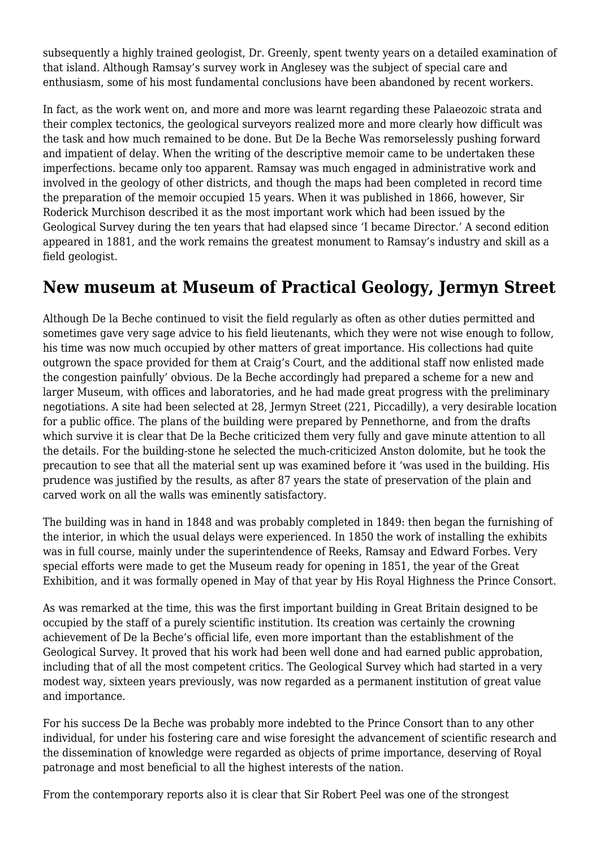subsequently a highly trained geologist, Dr. Greenly, spent twenty years on a detailed examination of that island. Although Ramsay's survey work in Anglesey was the subject of special care and enthusiasm, some of his most fundamental conclusions have been abandoned by recent workers.

In fact, as the work went on, and more and more was learnt regarding these Palaeozoic strata and their complex tectonics, the geological surveyors realized more and more clearly how difficult was the task and how much remained to be done. But De la Beche Was remorselessly pushing forward and impatient of delay. When the writing of the descriptive memoir came to be undertaken these imperfections. became only too apparent. Ramsay was much engaged in administrative work and involved in the geology of other districts, and though the maps had been completed in record time the preparation of the memoir occupied 15 years. When it was published in 1866, however, Sir Roderick Murchison described it as the most important work which had been issued by the Geological Survey during the ten years that had elapsed since 'I became Director.' A second edition appeared in 1881, and the work remains the greatest monument to Ramsay's industry and skill as a field geologist.

### **New museum at Museum of Practical Geology, Jermyn Street**

Although De la Beche continued to visit the field regularly as often as other duties permitted and sometimes gave very sage advice to his field lieutenants, which they were not wise enough to follow, his time was now much occupied by other matters of great importance. His collections had quite outgrown the space provided for them at Craig's Court, and the additional staff now enlisted made the congestion painfully' obvious. De la Beche accordingly had prepared a scheme for a new and larger Museum, with offices and laboratories, and he had made great progress with the preliminary negotiations. A site had been selected at 28, Jermyn Street (221, Piccadilly), a very desirable location for a public office. The plans of the building were prepared by Pennethorne, and from the drafts which survive it is clear that De la Beche criticized them very fully and gave minute attention to all the details. For the building-stone he selected the much-criticized Anston dolomite, but he took the precaution to see that all the material sent up was examined before it 'was used in the building. His prudence was justified by the results, as after 87 years the state of preservation of the plain and carved work on all the walls was eminently satisfactory.

The building was in hand in 1848 and was probably completed in 1849: then began the furnishing of the interior, in which the usual delays were experienced. In 1850 the work of installing the exhibits was in full course, mainly under the superintendence of Reeks, Ramsay and Edward Forbes. Very special efforts were made to get the Museum ready for opening in 1851, the year of the Great Exhibition, and it was formally opened in May of that year by His Royal Highness the Prince Consort.

As was remarked at the time, this was the first important building in Great Britain designed to be occupied by the staff of a purely scientific institution. Its creation was certainly the crowning achievement of De la Beche's official life, even more important than the establishment of the Geological Survey. It proved that his work had been well done and had earned public approbation, including that of all the most competent critics. The Geological Survey which had started in a very modest way, sixteen years previously, was now regarded as a permanent institution of great value and importance.

For his success De la Beche was probably more indebted to the Prince Consort than to any other individual, for under his fostering care and wise foresight the advancement of scientific research and the dissemination of knowledge were regarded as objects of prime importance, deserving of Royal patronage and most beneficial to all the highest interests of the nation.

From the contemporary reports also it is clear that Sir Robert Peel was one of the strongest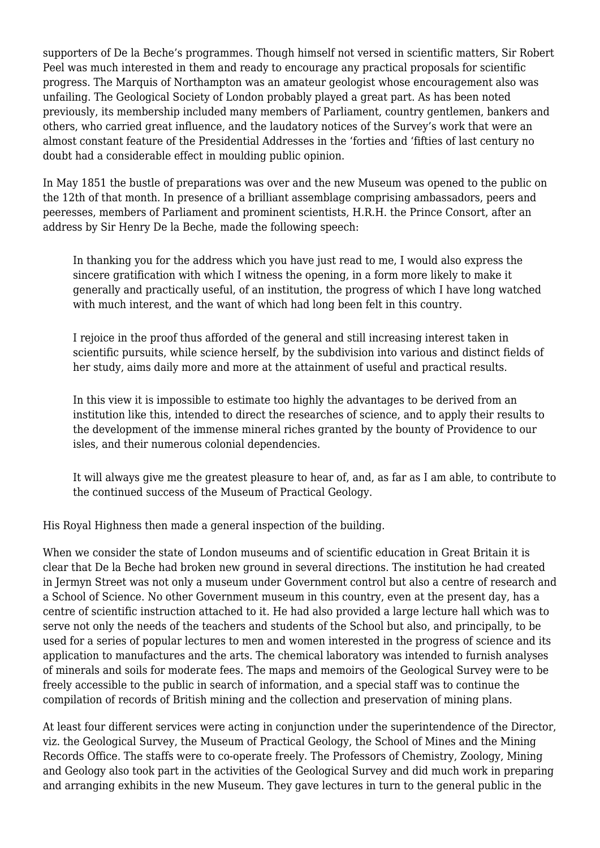supporters of De la Beche's programmes. Though himself not versed in scientific matters, Sir Robert Peel was much interested in them and ready to encourage any practical proposals for scientific progress. The Marquis of Northampton was an amateur geologist whose encouragement also was unfailing. The Geological Society of London probably played a great part. As has been noted previously, its membership included many members of Parliament, country gentlemen, bankers and others, who carried great influence, and the laudatory notices of the Survey's work that were an almost constant feature of the Presidential Addresses in the 'forties and 'fifties of last century no doubt had a considerable effect in moulding public opinion.

In May 1851 the bustle of preparations was over and the new Museum was opened to the public on the 12th of that month. In presence of a brilliant assemblage comprising ambassadors, peers and peeresses, members of Parliament and prominent scientists, H.R.H. the Prince Consort, after an address by Sir Henry De la Beche, made the following speech:

In thanking you for the address which you have just read to me, I would also express the sincere gratification with which I witness the opening, in a form more likely to make it generally and practically useful, of an institution, the progress of which I have long watched with much interest, and the want of which had long been felt in this country.

I rejoice in the proof thus afforded of the general and still increasing interest taken in scientific pursuits, while science herself, by the subdivision into various and distinct fields of her study, aims daily more and more at the attainment of useful and practical results.

In this view it is impossible to estimate too highly the advantages to be derived from an institution like this, intended to direct the researches of science, and to apply their results to the development of the immense mineral riches granted by the bounty of Providence to our isles, and their numerous colonial dependencies.

It will always give me the greatest pleasure to hear of, and, as far as I am able, to contribute to the continued success of the Museum of Practical Geology.

His Royal Highness then made a general inspection of the building.

When we consider the state of London museums and of scientific education in Great Britain it is clear that De la Beche had broken new ground in several directions. The institution he had created in Jermyn Street was not only a museum under Government control but also a centre of research and a School of Science. No other Government museum in this country, even at the present day, has a centre of scientific instruction attached to it. He had also provided a large lecture hall which was to serve not only the needs of the teachers and students of the School but also, and principally, to be used for a series of popular lectures to men and women interested in the progress of science and its application to manufactures and the arts. The chemical laboratory was intended to furnish analyses of minerals and soils for moderate fees. The maps and memoirs of the Geological Survey were to be freely accessible to the public in search of information, and a special staff was to continue the compilation of records of British mining and the collection and preservation of mining plans.

At least four different services were acting in conjunction under the superintendence of the Director, viz. the Geological Survey, the Museum of Practical Geology, the School of Mines and the Mining Records Office. The staffs were to co-operate freely. The Professors of Chemistry, Zoology, Mining and Geology also took part in the activities of the Geological Survey and did much work in preparing and arranging exhibits in the new Museum. They gave lectures in turn to the general public in the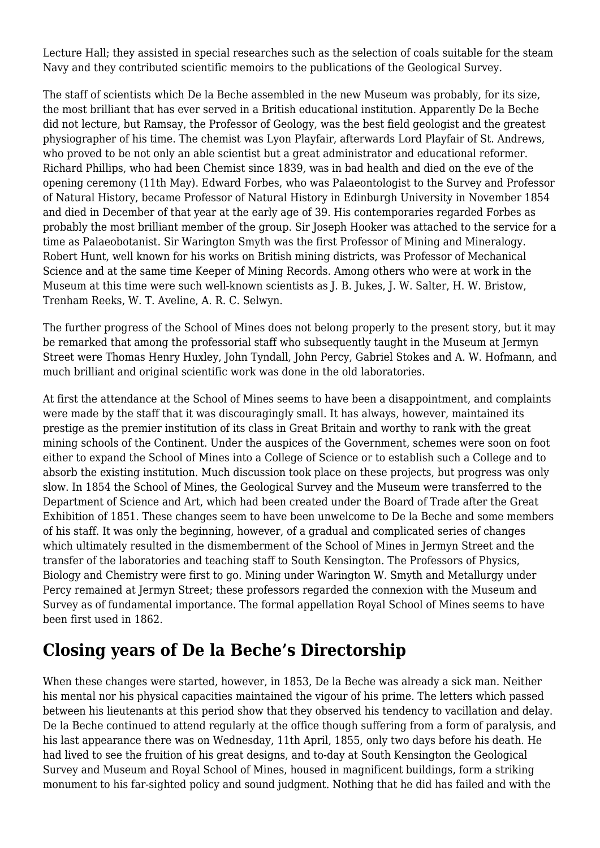Lecture Hall; they assisted in special researches such as the selection of coals suitable for the steam Navy and they contributed scientific memoirs to the publications of the Geological Survey.

The staff of scientists which De la Beche assembled in the new Museum was probably, for its size, the most brilliant that has ever served in a British educational institution. Apparently De la Beche did not lecture, but Ramsay, the Professor of Geology, was the best field geologist and the greatest physiographer of his time. The chemist was Lyon Playfair, afterwards Lord Playfair of St. Andrews, who proved to be not only an able scientist but a great administrator and educational reformer. Richard Phillips, who had been Chemist since 1839*,* was in bad health and died on the eve of the opening ceremony (11th May). Edward Forbes, who was Palaeontologist to the Survey and Professor of Natural History, became Professor of Natural History in Edinburgh University in November 1854 and died in December of that year at the early age of 39. His contemporaries regarded Forbes as probably the most brilliant member of the group. Sir Joseph Hooker was attached to the service for a time as Palaeobotanist. Sir Warington Smyth was the first Professor of Mining and Mineralogy. Robert Hunt, well known for his works on British mining districts, was Professor of Mechanical Science and at the same time Keeper of Mining Records. Among others who were at work in the Museum at this time were such well-known scientists as J. B. Jukes, J. W. Salter, H. W. Bristow, Trenham Reeks, W. T. Aveline, A. R. C. Selwyn.

The further progress of the School of Mines does not belong properly to the present story, but it may be remarked that among the professorial staff who subsequently taught in the Museum at Jermyn Street were Thomas Henry Huxley, John Tyndall, John Percy, Gabriel Stokes and A. W. Hofmann, and much brilliant and original scientific work was done in the old laboratories.

At first the attendance at the School of Mines seems to have been a disappointment, and complaints were made by the staff that it was discouragingly small. It has always, however, maintained its prestige as the premier institution of its class in Great Britain and worthy to rank with the great mining schools of the Continent. Under the auspices of the Government, schemes were soon on foot either to expand the School of Mines into a College of Science or to establish such a College and to absorb the existing institution. Much discussion took place on these projects, but progress was only slow. In 1854 the School of Mines, the Geological Survey and the Museum were transferred to the Department of Science and Art, which had been created under the Board of Trade after the Great Exhibition of 1851. These changes seem to have been unwelcome to De la Beche and some members of his staff. It was only the beginning, however, of a gradual and complicated series of changes which ultimately resulted in the dismemberment of the School of Mines in Jermyn Street and the transfer of the laboratories and teaching staff to South Kensington. The Professors of Physics, Biology and Chemistry were first to go. Mining under Warington W. Smyth and Metallurgy under Percy remained at Jermyn Street; these professors regarded the connexion with the Museum and Survey as of fundamental importance. The formal appellation Royal School of Mines seems to have been first used in 1862.

## **Closing years of De la Beche's Directorship**

When these changes were started, however, in 1853, De la Beche was already a sick man. Neither his mental nor his physical capacities maintained the vigour of his prime. The letters which passed between his lieutenants at this period show that they observed his tendency to vacillation and delay. De la Beche continued to attend regularly at the office though suffering from a form of paralysis, and his last appearance there was on Wednesday, 11th April, 1855, only two days before his death. He had lived to see the fruition of his great designs, and to-day at South Kensington the Geological Survey and Museum and Royal School of Mines, housed in magnificent buildings, form a striking monument to his far-sighted policy and sound judgment. Nothing that he did has failed and with the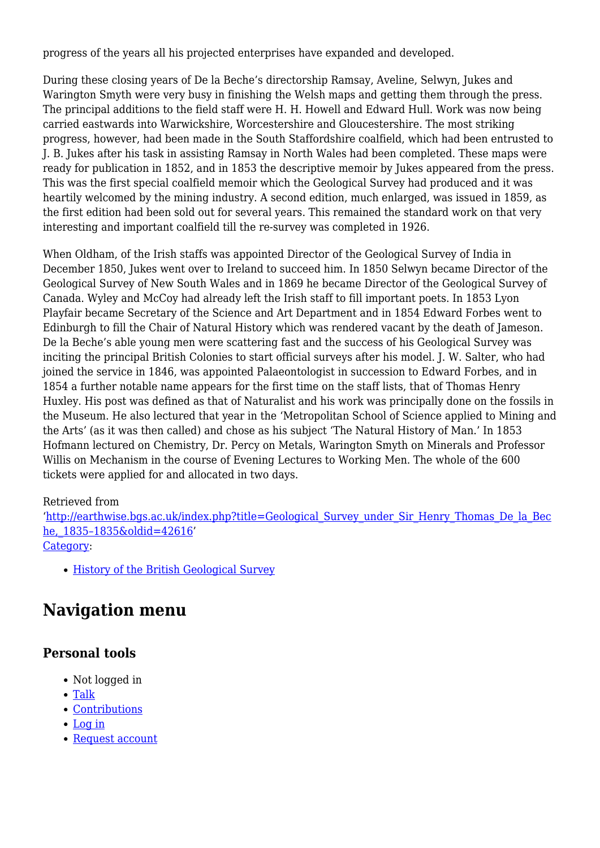progress of the years all his projected enterprises have expanded and developed.

During these closing years of De la Beche's directorship Ramsay, Aveline, Selwyn, Jukes and Warington Smyth were very busy in finishing the Welsh maps and getting them through the press. The principal additions to the field staff were H. H. Howell and Edward Hull. Work was now being carried eastwards into Warwickshire, Worcestershire and Gloucestershire. The most striking progress, however, had been made in the South Staffordshire coalfield, which had been entrusted to J. B. Jukes after his task in assisting Ramsay in North Wales had been completed. These maps were ready for publication in 1852, and in 1853 the descriptive memoir by Jukes appeared from the press. This was the first special coalfield memoir which the Geological Survey had produced and it was heartily welcomed by the mining industry. A second edition, much enlarged, was issued in 1859, as the first edition had been sold out for several years. This remained the standard work on that very interesting and important coalfield till the re-survey was completed in 1926.

When Oldham, of the Irish staffs was appointed Director of the Geological Survey of India in December 1850, Jukes went over to Ireland to succeed him. In 1850 Selwyn became Director of the Geological Survey of New South Wales and in 1869 he became Director of the Geological Survey of Canada. Wyley and McCoy had already left the Irish staff to fill important poets. In 1853 Lyon Playfair became Secretary of the Science and Art Department and in 1854 Edward Forbes went to Edinburgh to fill the Chair of Natural History which was rendered vacant by the death of Jameson. De la Beche's able young men were scattering fast and the success of his Geological Survey was inciting the principal British Colonies to start official surveys after his model. J. W. Salter, who had joined the service in 1846, was appointed Palaeontologist in succession to Edward Forbes, and in 1854 a further notable name appears for the first time on the staff lists, that of Thomas Henry Huxley. His post was defined as that of Naturalist and his work was principally done on the fossils in the Museum. He also lectured that year in the 'Metropolitan School of Science applied to Mining and the Arts' (as it was then called) and chose as his subject 'The Natural History of Man.' In 1853 Hofmann lectured on Chemistry, Dr. Percy on Metals, Warington Smyth on Minerals and Professor Willis on Mechanism in the course of Evening Lectures to Working Men. The whole of the 600 tickets were applied for and allocated in two days.

#### Retrieved from

'[http://earthwise.bgs.ac.uk/index.php?title=Geological\\_Survey\\_under\\_Sir\\_Henry\\_Thomas\\_De\\_la\\_Bec](http://earthwise.bgs.ac.uk/index.php?title=Geological_Survey_under_Sir_Henry_Thomas_De_la_Beche,_1835–1835&oldid=42616) [he,\\_1835–1835&oldid=42616'](http://earthwise.bgs.ac.uk/index.php?title=Geological_Survey_under_Sir_Henry_Thomas_De_la_Beche,_1835–1835&oldid=42616) [Category](http://earthwise.bgs.ac.uk/index.php/Special:Categories):

[History of the British Geological Survey](http://earthwise.bgs.ac.uk/index.php/Category:History_of_the_British_Geological_Survey)

## **Navigation menu**

### **Personal tools**

- Not logged in
- [Talk](http://earthwise.bgs.ac.uk/index.php/Special:MyTalk)
- [Contributions](http://earthwise.bgs.ac.uk/index.php/Special:MyContributions)
- [Log in](http://earthwise.bgs.ac.uk/index.php?title=Special:UserLogin&returnto=Geological+Survey+under+Sir+Henry+Thomas+De+la+Beche%2C+1835%E2%80%931835&returntoquery=action%3Dmpdf)
- [Request account](http://earthwise.bgs.ac.uk/index.php/Special:RequestAccount)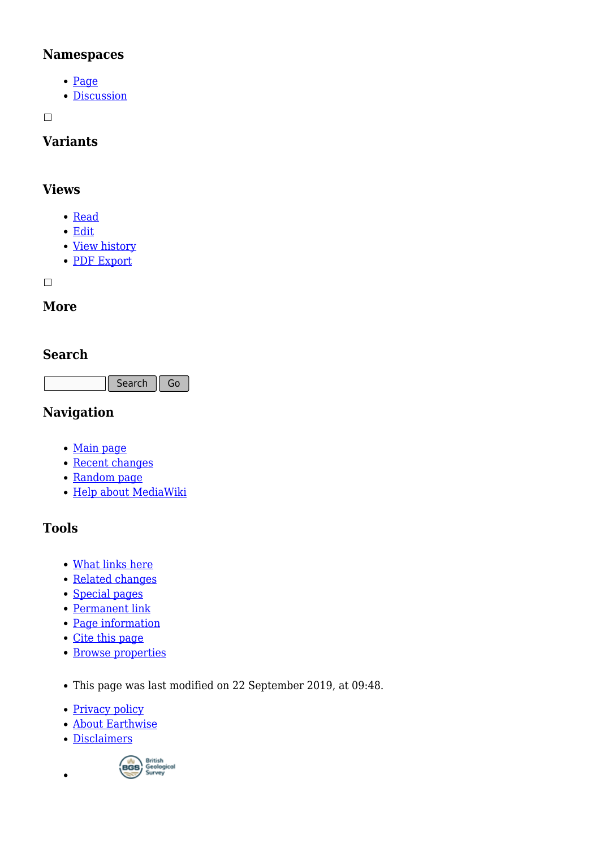#### **Namespaces**

- [Page](http://earthwise.bgs.ac.uk/index.php/Geological_Survey_under_Sir_Henry_Thomas_De_la_Beche,_1835%E2%80%931835)
- [Discussion](http://earthwise.bgs.ac.uk/index.php?title=Talk:Geological_Survey_under_Sir_Henry_Thomas_De_la_Beche,_1835%E2%80%931835&action=edit&redlink=1)

 $\Box$ 

### **Variants**

#### **Views**

- [Read](http://earthwise.bgs.ac.uk/index.php/Geological_Survey_under_Sir_Henry_Thomas_De_la_Beche,_1835%E2%80%931835)
- [Edit](http://earthwise.bgs.ac.uk/index.php?title=Geological_Survey_under_Sir_Henry_Thomas_De_la_Beche,_1835%E2%80%931835&action=edit)
- [View history](http://earthwise.bgs.ac.uk/index.php?title=Geological_Survey_under_Sir_Henry_Thomas_De_la_Beche,_1835%E2%80%931835&action=history)
- [PDF Export](http://earthwise.bgs.ac.uk/index.php?title=Geological_Survey_under_Sir_Henry_Thomas_De_la_Beche,_1835%E2%80%931835&action=mpdf)

 $\overline{\phantom{a}}$ 

### **More**

### **Search**

Search Go

### **Navigation**

- [Main page](http://earthwise.bgs.ac.uk/index.php/Main_Page)
- [Recent changes](http://earthwise.bgs.ac.uk/index.php/Special:RecentChanges)
- [Random page](http://earthwise.bgs.ac.uk/index.php/Special:Random)
- [Help about MediaWiki](https://www.mediawiki.org/wiki/Special:MyLanguage/Help:Contents)

### **Tools**

- [What links here](http://earthwise.bgs.ac.uk/index.php/Special:WhatLinksHere/Geological_Survey_under_Sir_Henry_Thomas_De_la_Beche,_1835%E2%80%931835)
- [Related changes](http://earthwise.bgs.ac.uk/index.php/Special:RecentChangesLinked/Geological_Survey_under_Sir_Henry_Thomas_De_la_Beche,_1835%E2%80%931835)
- [Special pages](http://earthwise.bgs.ac.uk/index.php/Special:SpecialPages)
- [Permanent link](http://earthwise.bgs.ac.uk/index.php?title=Geological_Survey_under_Sir_Henry_Thomas_De_la_Beche,_1835%E2%80%931835&oldid=42616)
- [Page information](http://earthwise.bgs.ac.uk/index.php?title=Geological_Survey_under_Sir_Henry_Thomas_De_la_Beche,_1835%E2%80%931835&action=info)
- [Cite this page](http://earthwise.bgs.ac.uk/index.php?title=Special:CiteThisPage&page=Geological_Survey_under_Sir_Henry_Thomas_De_la_Beche%2C_1835%E2%80%931835&id=42616)
- [Browse properties](http://earthwise.bgs.ac.uk/index.php/Special:Browse/:Geological-5FSurvey-5Funder-5FSir-5FHenry-5FThomas-5FDe-5Fla-5FBeche,-5F1835%E2%80%931835)
- This page was last modified on 22 September 2019, at 09:48.
- [Privacy policy](http://earthwise.bgs.ac.uk/index.php/Earthwise:Privacy_policy)
- [About Earthwise](http://earthwise.bgs.ac.uk/index.php/Earthwise:About)
- [Disclaimers](http://earthwise.bgs.ac.uk/index.php/Earthwise:General_disclaimer)